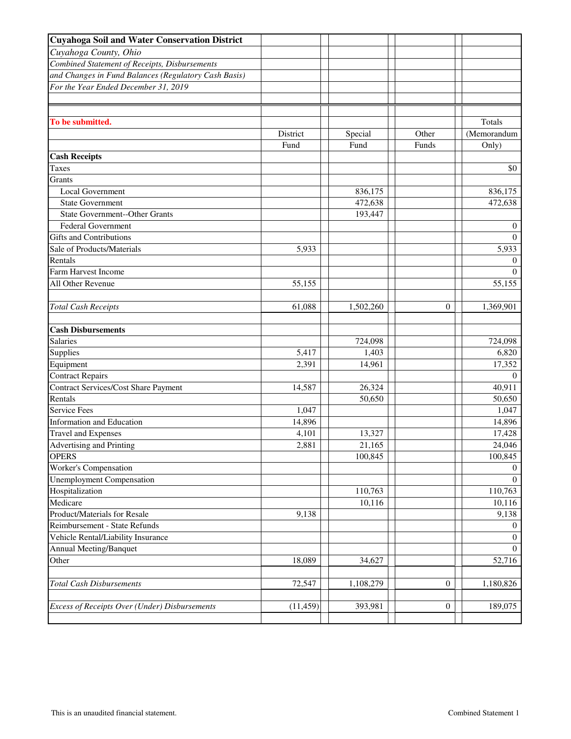| <b>Cuyahoga Soil and Water Conservation District</b> |                  |                 |                  |                                |
|------------------------------------------------------|------------------|-----------------|------------------|--------------------------------|
| Cuyahoga County, Ohio                                |                  |                 |                  |                                |
| Combined Statement of Receipts, Disbursements        |                  |                 |                  |                                |
| and Changes in Fund Balances (Regulatory Cash Basis) |                  |                 |                  |                                |
| For the Year Ended December 31, 2019                 |                  |                 |                  |                                |
|                                                      |                  |                 |                  |                                |
| To be submitted.                                     | District<br>Fund | Special<br>Fund | Other<br>Funds   | Totals<br>(Memorandum<br>Only) |
| <b>Cash Receipts</b>                                 |                  |                 |                  |                                |
| <b>Taxes</b>                                         |                  |                 |                  | \$0                            |
| Grants                                               |                  |                 |                  |                                |
| Local Government                                     |                  | 836,175         |                  | 836,175                        |
| <b>State Government</b>                              |                  | 472,638         |                  | 472,638                        |
| <b>State Government--Other Grants</b>                |                  | 193,447         |                  |                                |
| <b>Federal Government</b>                            |                  |                 |                  | $\overline{0}$                 |
| <b>Gifts and Contributions</b>                       |                  |                 |                  | $\Omega$                       |
| Sale of Products/Materials                           | 5,933            |                 |                  | 5,933                          |
| Rentals                                              |                  |                 |                  | $\overline{0}$                 |
| Farm Harvest Income                                  |                  |                 |                  | $\Omega$                       |
| All Other Revenue                                    | 55,155           |                 |                  | 55,155                         |
| <b>Total Cash Receipts</b>                           | 61,088           | 1,502,260       | $\theta$         | 1,369,901                      |
| <b>Cash Disbursements</b>                            |                  |                 |                  |                                |
| <b>Salaries</b>                                      |                  | 724,098         |                  | 724,098                        |
| Supplies                                             | 5,417            | 1,403           |                  | 6,820                          |
| Equipment                                            | 2,391            | 14,961          |                  | 17,352                         |
| <b>Contract Repairs</b>                              |                  |                 |                  | $\theta$                       |
| <b>Contract Services/Cost Share Payment</b>          | 14,587           | 26,324          |                  | 40,911                         |
| Rentals                                              |                  | 50,650          |                  | 50,650                         |
| <b>Service Fees</b>                                  | 1,047            |                 |                  | 1,047                          |
| <b>Information and Education</b>                     | 14,896           |                 |                  | 14,896                         |
| <b>Travel and Expenses</b>                           | 4,101            | 13,327          |                  | 17,428                         |
| <b>Advertising and Printing</b>                      | 2,881            | 21,165          |                  | 24,046                         |
| <b>OPERS</b>                                         |                  | 100,845         |                  | 100,845                        |
| Worker's Compensation                                |                  |                 |                  | $\Omega$                       |
| <b>Unemployment Compensation</b>                     |                  |                 |                  | $\Omega$                       |
| Hospitalization                                      |                  | 110,763         |                  | 110,763                        |
| Medicare                                             |                  | 10,116          |                  | 10,116                         |
| Product/Materials for Resale                         | 9,138            |                 |                  | 9,138                          |
| Reimbursement - State Refunds                        |                  |                 |                  | $\overline{0}$                 |
| Vehicle Rental/Liability Insurance                   |                  |                 |                  | $\overline{0}$                 |
| Annual Meeting/Banquet                               |                  |                 |                  | $\overline{0}$                 |
| Other                                                | 18,089           | 34,627          |                  | 52,716                         |
| <b>Total Cash Disbursements</b>                      | 72,547           | 1,108,279       | $\boldsymbol{0}$ | 1,180,826                      |
| Excess of Receipts Over (Under) Disbursements        | (11, 459)        | 393,981         | 0                | 189,075                        |
|                                                      |                  |                 |                  |                                |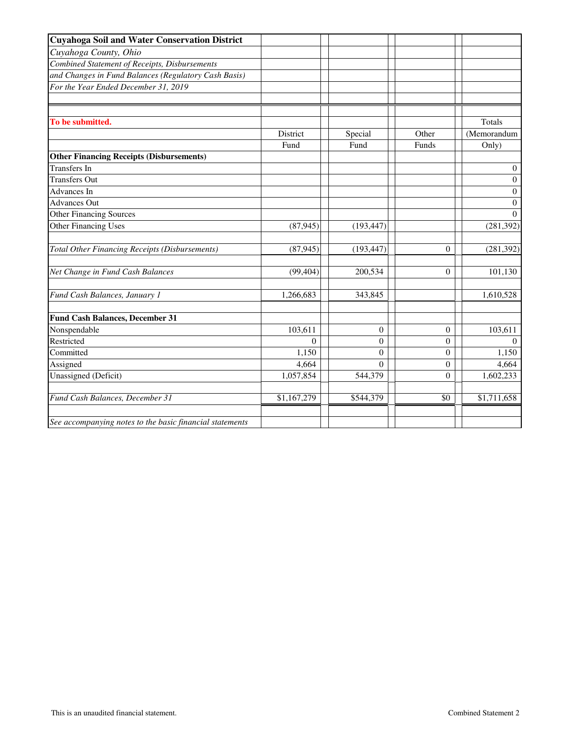| <b>Cuyahoga Soil and Water Conservation District</b>     |             |                |                  |                  |
|----------------------------------------------------------|-------------|----------------|------------------|------------------|
| Cuyahoga County, Ohio                                    |             |                |                  |                  |
| Combined Statement of Receipts, Disbursements            |             |                |                  |                  |
| and Changes in Fund Balances (Regulatory Cash Basis)     |             |                |                  |                  |
| For the Year Ended December 31, 2019                     |             |                |                  |                  |
|                                                          |             |                |                  |                  |
|                                                          |             |                |                  |                  |
| To be submitted.                                         |             |                |                  | Totals           |
|                                                          | District    | Special        | Other            | (Memorandum      |
|                                                          | Fund        | Fund           | Funds            | Only)            |
| <b>Other Financing Receipts (Disbursements)</b>          |             |                |                  |                  |
| Transfers In                                             |             |                |                  | $\mathbf{0}$     |
| <b>Transfers Out</b>                                     |             |                |                  | $\boldsymbol{0}$ |
| Advances In                                              |             |                |                  | 0                |
| <b>Advances Out</b>                                      |             |                |                  | $\Omega$         |
| <b>Other Financing Sources</b>                           |             |                |                  | $\Omega$         |
| Other Financing Uses                                     | (87, 945)   | (193, 447)     |                  | (281, 392)       |
| Total Other Financing Receipts (Disbursements)           | (87, 945)   | (193, 447)     | $\overline{0}$   | (281, 392)       |
| Net Change in Fund Cash Balances                         | (99, 404)   | 200,534        | 0                | 101,130          |
| Fund Cash Balances, January 1                            | 1,266,683   | 343,845        |                  | 1,610,528        |
| <b>Fund Cash Balances, December 31</b>                   |             |                |                  |                  |
| Nonspendable                                             | 103,611     | $\theta$       | $\boldsymbol{0}$ | 103,611          |
| Restricted                                               | $\Omega$    | $\overline{0}$ | $\overline{0}$   | $\Omega$         |
| Committed                                                | 1,150       | $\theta$       | $\overline{0}$   | 1,150            |
| Assigned                                                 | 4,664       | $\overline{0}$ | $\boldsymbol{0}$ | 4,664            |
| Unassigned (Deficit)                                     | 1,057,854   | 544,379        | $\theta$         | 1,602,233        |
| Fund Cash Balances, December 31                          | \$1,167,279 | \$544,379      | \$0              | \$1,711,658      |
| See accompanying notes to the basic financial statements |             |                |                  |                  |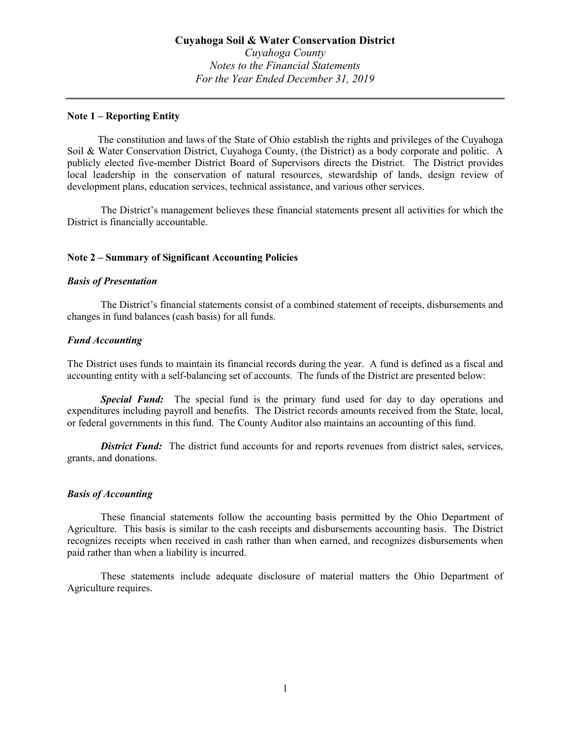#### Note 1 – Reporting Entity

 The constitution and laws of the State of Ohio establish the rights and privileges of the Cuyahoga Soil & Water Conservation District, Cuyahoga County, (the District) as a body corporate and politic. A publicly elected five-member District Board of Supervisors directs the District. The District provides local leadership in the conservation of natural resources, stewardship of lands, design review of development plans, education services, technical assistance, and various other services.

The District's management believes these financial statements present all activities for which the District is financially accountable.

## Note 2 – Summary of Significant Accounting Policies

#### Basis of Presentation

The District's financial statements consist of a combined statement of receipts, disbursements and changes in fund balances (cash basis) for all funds.

#### Fund Accounting

The District uses funds to maintain its financial records during the year. A fund is defined as a fiscal and accounting entity with a self-balancing set of accounts. The funds of the District are presented below:

**Special Fund:** The special fund is the primary fund used for day to day operations and expenditures including payroll and benefits. The District records amounts received from the State, local, or federal governments in this fund. The County Auditor also maintains an accounting of this fund.

District Fund: The district fund accounts for and reports revenues from district sales, services, grants, and donations.

# Basis of Accounting

These financial statements follow the accounting basis permitted by the Ohio Department of Agriculture. This basis is similar to the cash receipts and disbursements accounting basis. The District recognizes receipts when received in cash rather than when earned, and recognizes disbursements when paid rather than when a liability is incurred.

These statements include adequate disclosure of material matters the Ohio Department of Agriculture requires.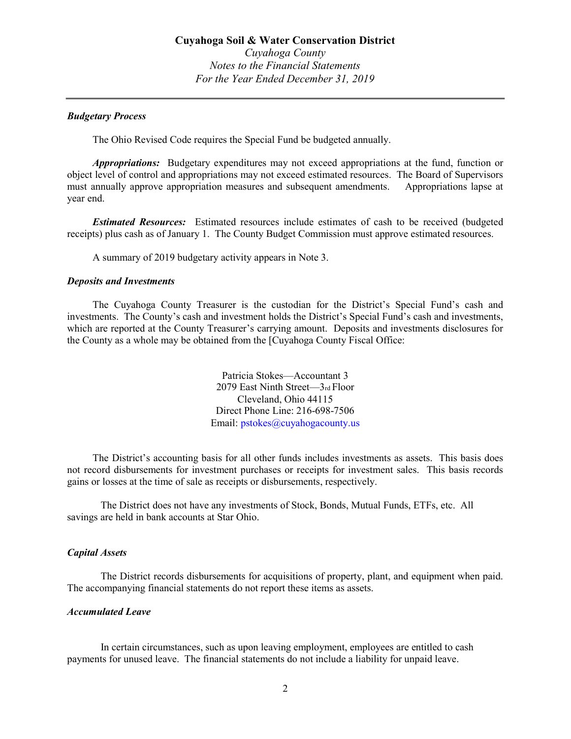#### Budgetary Process

The Ohio Revised Code requires the Special Fund be budgeted annually.

Appropriations: Budgetary expenditures may not exceed appropriations at the fund, function or object level of control and appropriations may not exceed estimated resources. The Board of Supervisors must annually approve appropriation measures and subsequent amendments. Appropriations lapse at year end.

 Estimated Resources: Estimated resources include estimates of cash to be received (budgeted receipts) plus cash as of January 1. The County Budget Commission must approve estimated resources.

A summary of 2019 budgetary activity appears in Note 3.

#### Deposits and Investments

 The Cuyahoga County Treasurer is the custodian for the District's Special Fund's cash and investments. The County's cash and investment holds the District's Special Fund's cash and investments, which are reported at the County Treasurer's carrying amount. Deposits and investments disclosures for the County as a whole may be obtained from the [Cuyahoga County Fiscal Office:

> Patricia Stokes—Accountant 3 2079 East Ninth Street—3rd Floor Cleveland, Ohio 44115 Direct Phone Line: 216-698-7506 Email: pstokes@cuyahogacounty.us

 The District's accounting basis for all other funds includes investments as assets. This basis does not record disbursements for investment purchases or receipts for investment sales. This basis records gains or losses at the time of sale as receipts or disbursements, respectively.

The District does not have any investments of Stock, Bonds, Mutual Funds, ETFs, etc. All savings are held in bank accounts at Star Ohio.

#### Capital Assets

The District records disbursements for acquisitions of property, plant, and equipment when paid. The accompanying financial statements do not report these items as assets.

#### Accumulated Leave

In certain circumstances, such as upon leaving employment, employees are entitled to cash payments for unused leave. The financial statements do not include a liability for unpaid leave.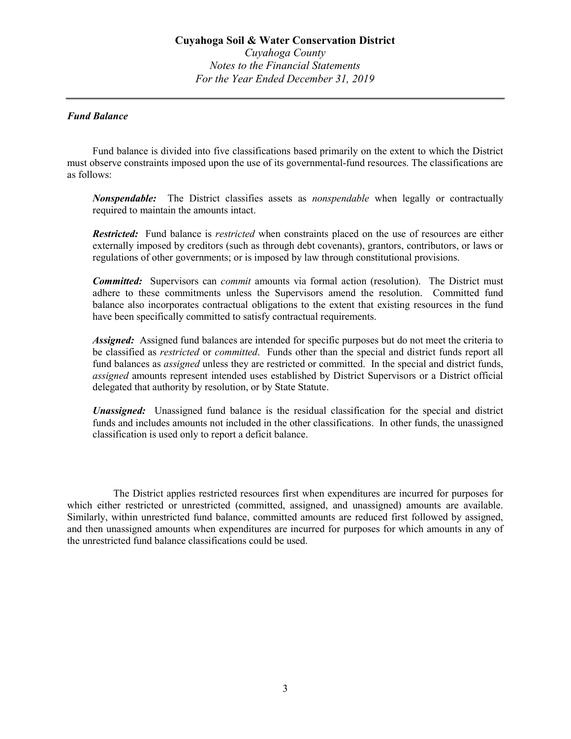# Fund Balance

Fund balance is divided into five classifications based primarily on the extent to which the District must observe constraints imposed upon the use of its governmental-fund resources. The classifications are as follows:

Nonspendable: The District classifies assets as *nonspendable* when legally or contractually required to maintain the amounts intact.

**Restricted:** Fund balance is *restricted* when constraints placed on the use of resources are either externally imposed by creditors (such as through debt covenants), grantors, contributors, or laws or regulations of other governments; or is imposed by law through constitutional provisions.

**Committed:** Supervisors can *commit* amounts via formal action (resolution). The District must adhere to these commitments unless the Supervisors amend the resolution. Committed fund balance also incorporates contractual obligations to the extent that existing resources in the fund have been specifically committed to satisfy contractual requirements.

Assigned: Assigned fund balances are intended for specific purposes but do not meet the criteria to be classified as *restricted* or *committed*. Funds other than the special and district funds report all fund balances as *assigned* unless they are restricted or committed. In the special and district funds, assigned amounts represent intended uses established by District Supervisors or a District official delegated that authority by resolution, or by State Statute.

Unassigned: Unassigned fund balance is the residual classification for the special and district funds and includes amounts not included in the other classifications. In other funds, the unassigned classification is used only to report a deficit balance.

 The District applies restricted resources first when expenditures are incurred for purposes for which either restricted or unrestricted (committed, assigned, and unassigned) amounts are available. Similarly, within unrestricted fund balance, committed amounts are reduced first followed by assigned, and then unassigned amounts when expenditures are incurred for purposes for which amounts in any of the unrestricted fund balance classifications could be used.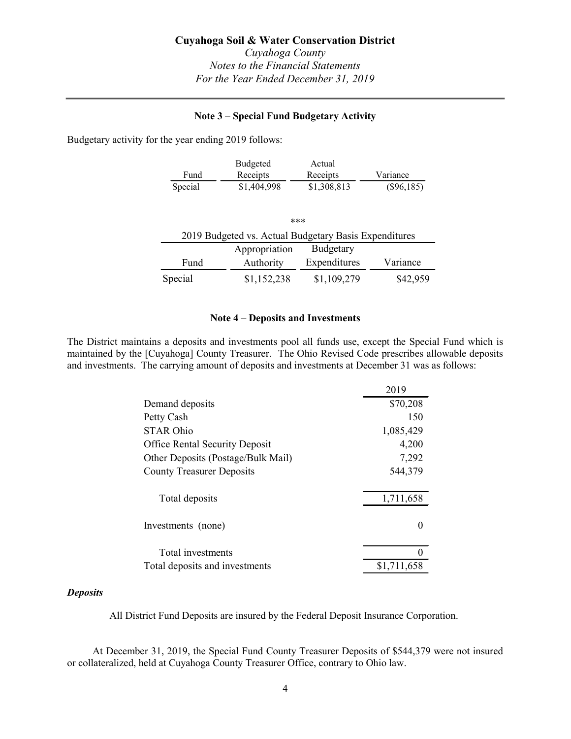# Note 3 – Special Fund Budgetary Activity

Budgetary activity for the year ending 2019 follows:

|         | Budgeted    | Actual      |              |
|---------|-------------|-------------|--------------|
| Fund    | Receipts    | Receipts    | Variance     |
| Special | \$1,404,998 | \$1,308,813 | $(\$96,185)$ |

|         | <b>Cuyahoga Soil &amp; Water Conservation District</b><br>Cuyahoga County<br><b>Notes to the Financial Statements</b><br>For the Year Ended December 31, 2019 |              |              |
|---------|---------------------------------------------------------------------------------------------------------------------------------------------------------------|--------------|--------------|
|         | <b>Note 3 – Special Fund Budgetary Activity</b>                                                                                                               |              |              |
|         | the year ending 2019 follows:                                                                                                                                 |              |              |
|         | Budgeted                                                                                                                                                      | Actual       |              |
| Fund    | Receipts                                                                                                                                                      | Receipts     | Variance     |
| Special | \$1,404,998                                                                                                                                                   | \$1,308,813  | $(\$96,185)$ |
|         | ***                                                                                                                                                           |              |              |
|         | 2019 Budgeted vs. Actual Budgetary Basis Expenditures                                                                                                         |              |              |
|         | Appropriation                                                                                                                                                 | Budgetary    |              |
| Fund    | Authority                                                                                                                                                     | Expenditures | Variance     |
| Special | \$1,152,238                                                                                                                                                   | \$1,109,279  | \$42,959     |
|         |                                                                                                                                                               |              |              |
|         | Note 4 – Deposits and Investments                                                                                                                             |              |              |
|         | a deposite and investments nool all funds use except the Special Fund which is                                                                                |              |              |

### Note 4 – Deposits and Investments

The District maintains a deposits and investments pool all funds use, except the Special Fund which is maintained by the [Cuyahoga] County Treasurer. The Ohio Revised Code prescribes allowable deposits and investments. The carrying amount of deposits and investments at December 31 was as follows:

| Fund                                                                                                                                                                                                                                                          | Budgeted                                              | Actual       |                  |
|---------------------------------------------------------------------------------------------------------------------------------------------------------------------------------------------------------------------------------------------------------------|-------------------------------------------------------|--------------|------------------|
|                                                                                                                                                                                                                                                               | Receipts                                              | Receipts     | Variance         |
| Special                                                                                                                                                                                                                                                       | \$1,404,998                                           | \$1,308,813  | $(\$96,185)$     |
|                                                                                                                                                                                                                                                               |                                                       |              |                  |
|                                                                                                                                                                                                                                                               | ***                                                   |              |                  |
|                                                                                                                                                                                                                                                               | 2019 Budgeted vs. Actual Budgetary Basis Expenditures |              |                  |
|                                                                                                                                                                                                                                                               | Appropriation                                         | Budgetary    |                  |
| Fund                                                                                                                                                                                                                                                          | Authority                                             | Expenditures | Variance         |
| Special                                                                                                                                                                                                                                                       | \$1,152,238                                           | \$1,109,279  | \$42,959         |
|                                                                                                                                                                                                                                                               | Note 4 – Deposits and Investments                     |              |                  |
| tains a deposits and investments pool all funds use, except the Special Fund which is<br>: [Cuyahoga] County Treasurer. The Ohio Revised Code prescribes allowable deposits<br>The carrying amount of deposits and investments at December 31 was as follows: |                                                       |              |                  |
|                                                                                                                                                                                                                                                               |                                                       |              | 2019             |
| Demand deposits                                                                                                                                                                                                                                               |                                                       |              | \$70,208         |
| Petty Cash                                                                                                                                                                                                                                                    |                                                       |              | 150              |
| <b>STAR Ohio</b>                                                                                                                                                                                                                                              |                                                       |              | 1,085,429        |
| <b>Office Rental Security Deposit</b>                                                                                                                                                                                                                         |                                                       |              | 4,200            |
| Other Deposits (Postage/Bulk Mail)                                                                                                                                                                                                                            |                                                       |              | 7,292            |
| <b>County Treasurer Deposits</b>                                                                                                                                                                                                                              |                                                       |              | 544,379          |
|                                                                                                                                                                                                                                                               |                                                       |              |                  |
| Total deposits                                                                                                                                                                                                                                                |                                                       |              | 1,711,658        |
| Investments (none)                                                                                                                                                                                                                                            |                                                       |              | $\boldsymbol{0}$ |
| Total investments                                                                                                                                                                                                                                             |                                                       |              | $\Omega$         |

## **Deposits**

All District Fund Deposits are insured by the Federal Deposit Insurance Corporation.

 At December 31, 2019, the Special Fund County Treasurer Deposits of \$544,379 were not insured or collateralized, held at Cuyahoga County Treasurer Office, contrary to Ohio law.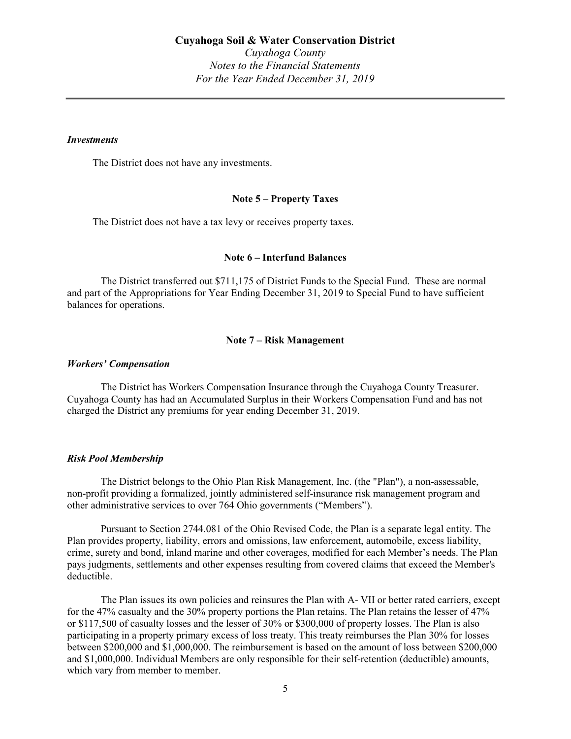#### **Investments**

The District does not have any investments.

#### Note 5 – Property Taxes

The District does not have a tax levy or receives property taxes.

#### Note 6 – Interfund Balances

The District transferred out \$711,175 of District Funds to the Special Fund. These are normal and part of the Appropriations for Year Ending December 31, 2019 to Special Fund to have sufficient balances for operations.

#### Note 7 – Risk Management

#### Workers' Compensation

The District has Workers Compensation Insurance through the Cuyahoga County Treasurer. Cuyahoga County has had an Accumulated Surplus in their Workers Compensation Fund and has not charged the District any premiums for year ending December 31, 2019.

#### Risk Pool Membership

The District belongs to the Ohio Plan Risk Management, Inc. (the "Plan"), a non-assessable, non-profit providing a formalized, jointly administered self-insurance risk management program and other administrative services to over 764 Ohio governments ("Members").

Pursuant to Section 2744.081 of the Ohio Revised Code, the Plan is a separate legal entity. The Plan provides property, liability, errors and omissions, law enforcement, automobile, excess liability, crime, surety and bond, inland marine and other coverages, modified for each Member's needs. The Plan pays judgments, settlements and other expenses resulting from covered claims that exceed the Member's deductible.

The Plan issues its own policies and reinsures the Plan with A- VII or better rated carriers, except for the 47% casualty and the 30% property portions the Plan retains. The Plan retains the lesser of 47% or \$117,500 of casualty losses and the lesser of 30% or \$300,000 of property losses. The Plan is also participating in a property primary excess of loss treaty. This treaty reimburses the Plan 30% for losses between \$200,000 and \$1,000,000. The reimbursement is based on the amount of loss between \$200,000 and \$1,000,000. Individual Members are only responsible for their self-retention (deductible) amounts, which vary from member to member.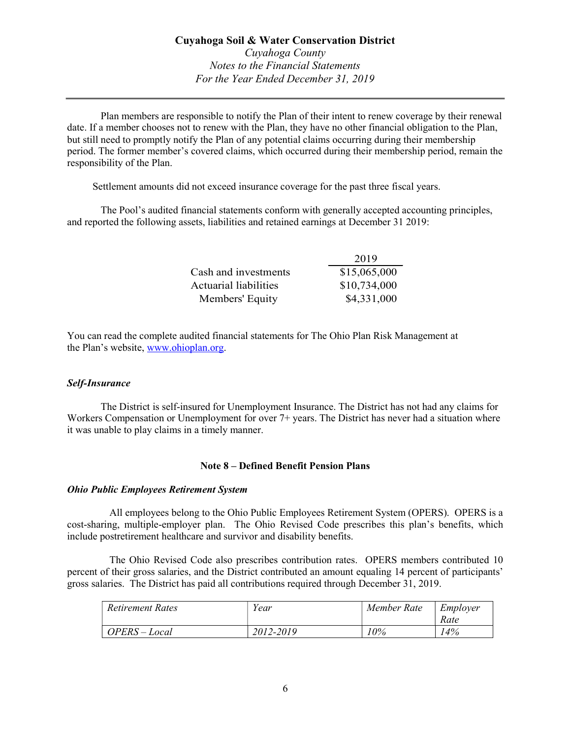Plan members are responsible to notify the Plan of their intent to renew coverage by their renewal date. If a member chooses not to renew with the Plan, they have no other financial obligation to the Plan, but still need to promptly notify the Plan of any potential claims occurring during their membership period. The former member's covered claims, which occurred during their membership period, remain the responsibility of the Plan. **Example 2018 Example 2018 Case County**<br>
Case to the Financial Statements<br>
For the Year Ended December 31, 2019<br>
Donsible to notify the Plan of their intent to renew coverage by their renewal<br>
to renew with the Plan, Cuyahoga County<br>
Cuyahoga County<br>
Notes to the Financial Statements<br>
For the Year Ended December 31, 2019<br>
<br>
Assiste to notify the Plan of their intent to renew overage by their renewal<br>
to renew with the Plan, they have n Notes to the Financial Statements<br>
For the Year Ended December 31, 2019<br>
<br>
<br>

Monsible to notify the Plan of their intent to renew coverage by their renewal<br>

to renew with the Plan, they have no other financial obligatio

Settlement amounts did not exceed insurance coverage for the past three fiscal years.

The Pool's audited financial statements conform with generally accepted accounting principles, and reported the following assets, liabilities and retained earnings at December 31 2019:

|                       | 2019         |
|-----------------------|--------------|
| Cash and investments  | \$15,065,000 |
| Actuarial liabilities | \$10,734,000 |
| Members' Equity       | \$4,331,000  |

You can read the complete audited financial statements for The Ohio Plan Risk Management at the Plan's website, www.ohioplan.org.

# Self-Insurance

The District is self-insured for Unemployment Insurance. The District has not had any claims for Workers Compensation or Unemployment for over  $7+$  years. The District has never had a situation where it was unable to play claims in a timely manner.

# Note 8 – Defined Benefit Pension Plans

## Ohio Public Employees Retirement System

 All employees belong to the Ohio Public Employees Retirement System (OPERS). OPERS is a cost-sharing, multiple-employer plan. The Ohio Revised Code prescribes this plan's benefits, which include postretirement healthcare and survivor and disability benefits.

 The Ohio Revised Code also prescribes contribution rates. OPERS members contributed 10 percent of their gross salaries, and the District contributed an amount equaling 14 percent of participants' gross salaries. The District has paid all contributions required through December 31, 2019.

| <b>Retirement Rates</b> | Year      | Member Rate | Employer |
|-------------------------|-----------|-------------|----------|
|                         |           |             | Rate     |
| $OPERS - Local$         | 2012-2019 | 10%         | 14%      |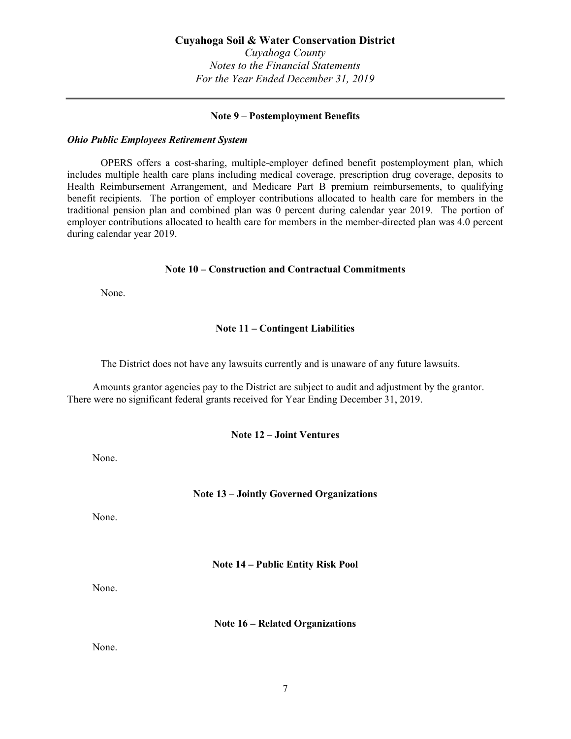## Note 9 – Postemployment Benefits

#### Ohio Public Employees Retirement System

OPERS offers a cost-sharing, multiple-employer defined benefit postemployment plan, which includes multiple health care plans including medical coverage, prescription drug coverage, deposits to Health Reimbursement Arrangement, and Medicare Part B premium reimbursements, to qualifying benefit recipients. The portion of employer contributions allocated to health care for members in the traditional pension plan and combined plan was 0 percent during calendar year 2019. The portion of employer contributions allocated to health care for members in the member-directed plan was 4.0 percent during calendar year 2019.

## Note 10 – Construction and Contractual Commitments

None.

# Note 11 – Contingent Liabilities

The District does not have any lawsuits currently and is unaware of any future lawsuits.

Amounts grantor agencies pay to the District are subject to audit and adjustment by the grantor. There were no significant federal grants received for Year Ending December 31, 2019.

#### Note 12 – Joint Ventures

None.

# Note 13 – Jointly Governed Organizations

None.

Note 14 – Public Entity Risk Pool

None.

Note 16 – Related Organizations

None.